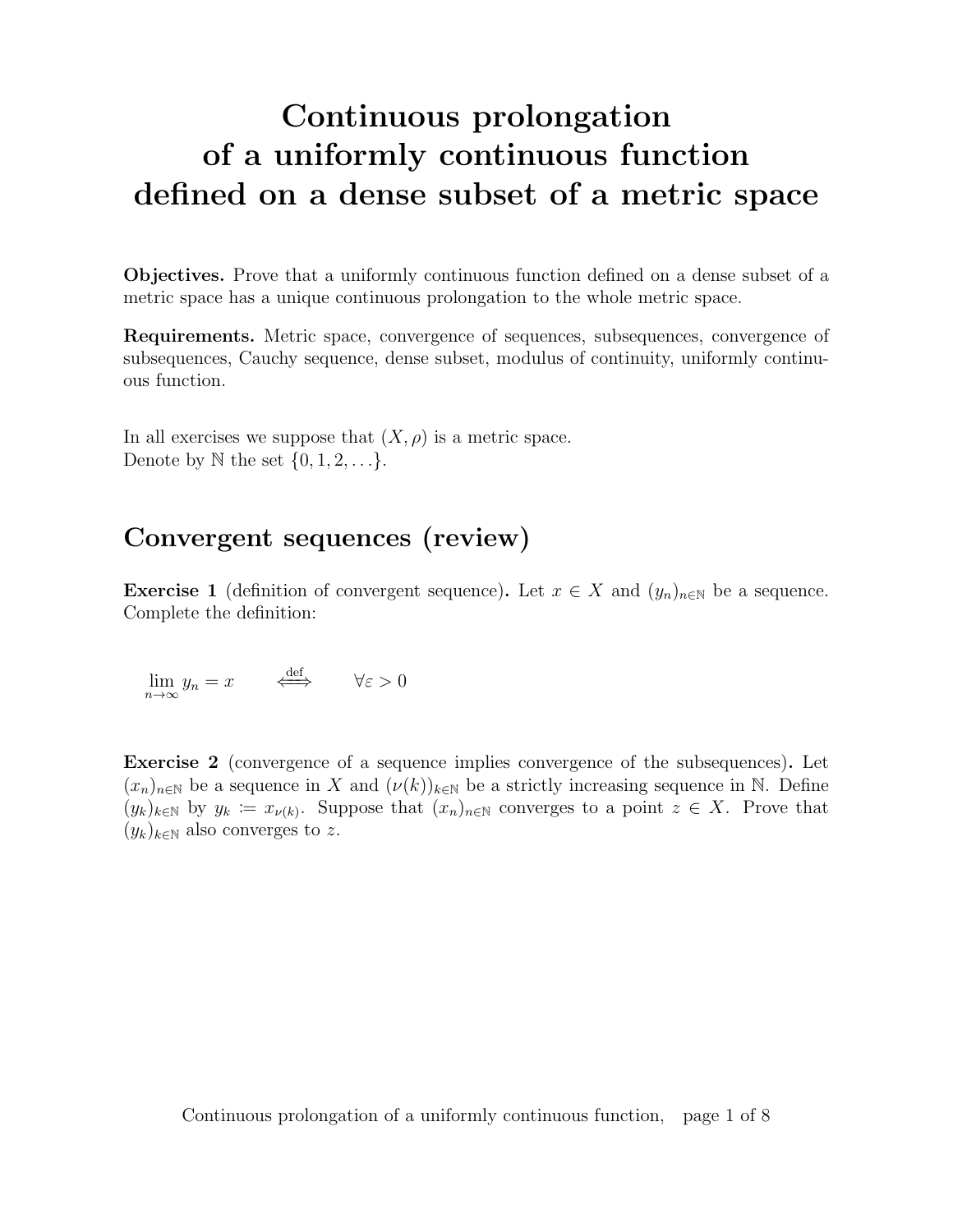# Continuous prolongation of a uniformly continuous function defined on a dense subset of a metric space

Objectives. Prove that a uniformly continuous function defined on a dense subset of a metric space has a unique continuous prolongation to the whole metric space.

Requirements. Metric space, convergence of sequences, subsequences, convergence of subsequences, Cauchy sequence, dense subset, modulus of continuity, uniformly continuous function.

In all exercises we suppose that  $(X, \rho)$  is a metric space. Denote by  $\mathbb N$  the set  $\{0, 1, 2, \ldots\}$ .

### Convergent sequences (review)

**Exercise 1** (definition of convergent sequence). Let  $x \in X$  and  $(y_n)_{n \in \mathbb{N}}$  be a sequence. Complete the definition:

$$
\lim_{n \to \infty} y_n = x \qquad \Longleftrightarrow \qquad \forall \varepsilon > 0
$$

Exercise 2 (convergence of a sequence implies convergence of the subsequences). Let  $(x_n)_{n\in\mathbb{N}}$  be a sequence in X and  $(\nu(k))_{k\in\mathbb{N}}$  be a strictly increasing sequence in N. Define  $(y_k)_{k\in\mathbb{N}}$  by  $y_k := x_{\nu(k)}$ . Suppose that  $(x_n)_{n\in\mathbb{N}}$  converges to a point  $z \in X$ . Prove that  $(y_k)_{k\in\mathbb{N}}$  also converges to z.

Continuous prolongation of a uniformly continuous function, page 1 of 8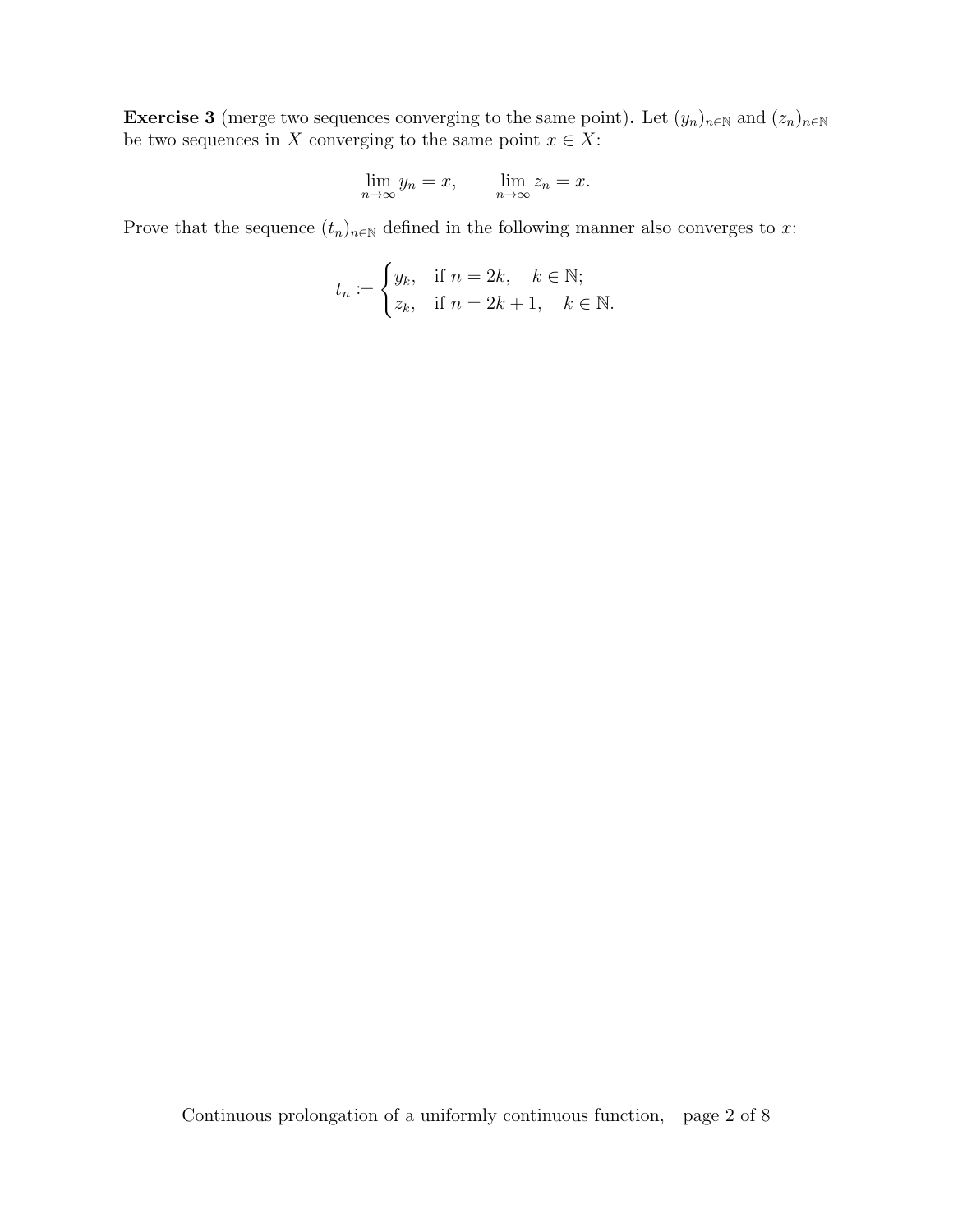**Exercise 3** (merge two sequences converging to the same point). Let  $(y_n)_{n\in\mathbb{N}}$  and  $(z_n)_{n\in\mathbb{N}}$ be two sequences in X converging to the same point  $x \in X$ :

$$
\lim_{n \to \infty} y_n = x, \qquad \lim_{n \to \infty} z_n = x.
$$

Prove that the sequence  $(t_n)_{n\in\mathbb{N}}$  defined in the following manner also converges to x:

$$
t_n := \begin{cases} y_k, & \text{if } n = 2k, \quad k \in \mathbb{N}; \\ z_k, & \text{if } n = 2k + 1, \quad k \in \mathbb{N}. \end{cases}
$$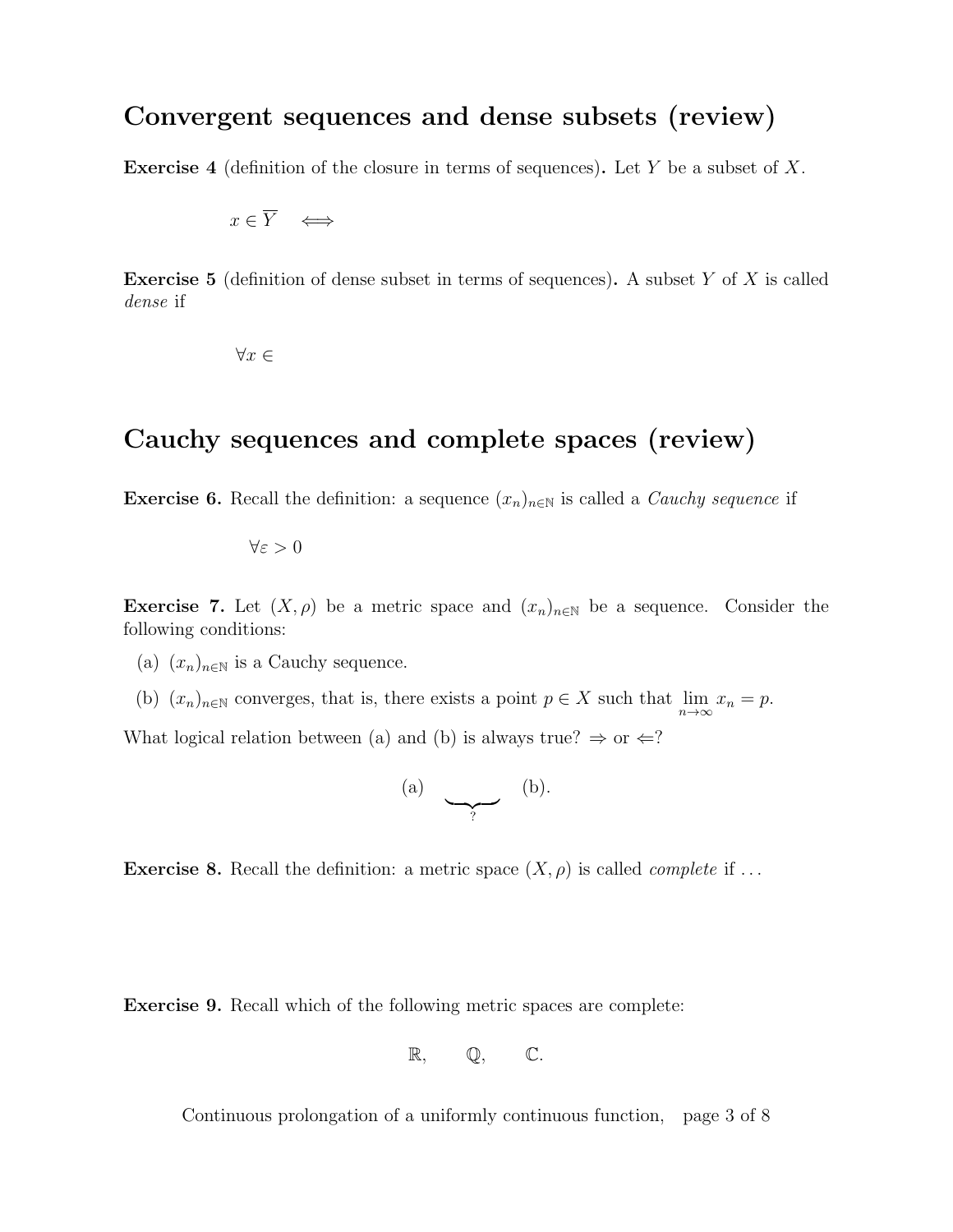#### Convergent sequences and dense subsets (review)

**Exercise 4** (definition of the closure in terms of sequences). Let Y be a subset of X.

$$
x \in \overline{Y} \quad \Longleftrightarrow \quad
$$

**Exercise 5** (definition of dense subset in terms of sequences). A subset Y of X is called dense if

 $\forall x$  ∈

#### Cauchy sequences and complete spaces (review)

**Exercise 6.** Recall the definition: a sequence  $(x_n)_{n\in\mathbb{N}}$  is called a *Cauchy sequence* if

 $\forall \varepsilon > 0$ 

**Exercise 7.** Let  $(X, \rho)$  be a metric space and  $(x_n)_{n \in \mathbb{N}}$  be a sequence. Consider the following conditions:

- (a)  $(x_n)_{n\in\mathbb{N}}$  is a Cauchy sequence.
- (b)  $(x_n)_{n\in\mathbb{N}}$  converges, that is, there exists a point  $p \in X$  such that  $\lim_{n\to\infty} x_n = p$ .

What logical relation between (a) and (b) is always true?  $\Rightarrow$  or  $\Leftarrow$ ?

$$
\begin{array}{ccc} \text{(a)} & \searrow & \text{(b)} \end{array}
$$

**Exercise 8.** Recall the definition: a metric space  $(X, \rho)$  is called *complete* if ...

Exercise 9. Recall which of the following metric spaces are complete:

$$
\mathbb{R},\qquad \mathbb{Q},\qquad \mathbb{C}.
$$

Continuous prolongation of a uniformly continuous function, page 3 of 8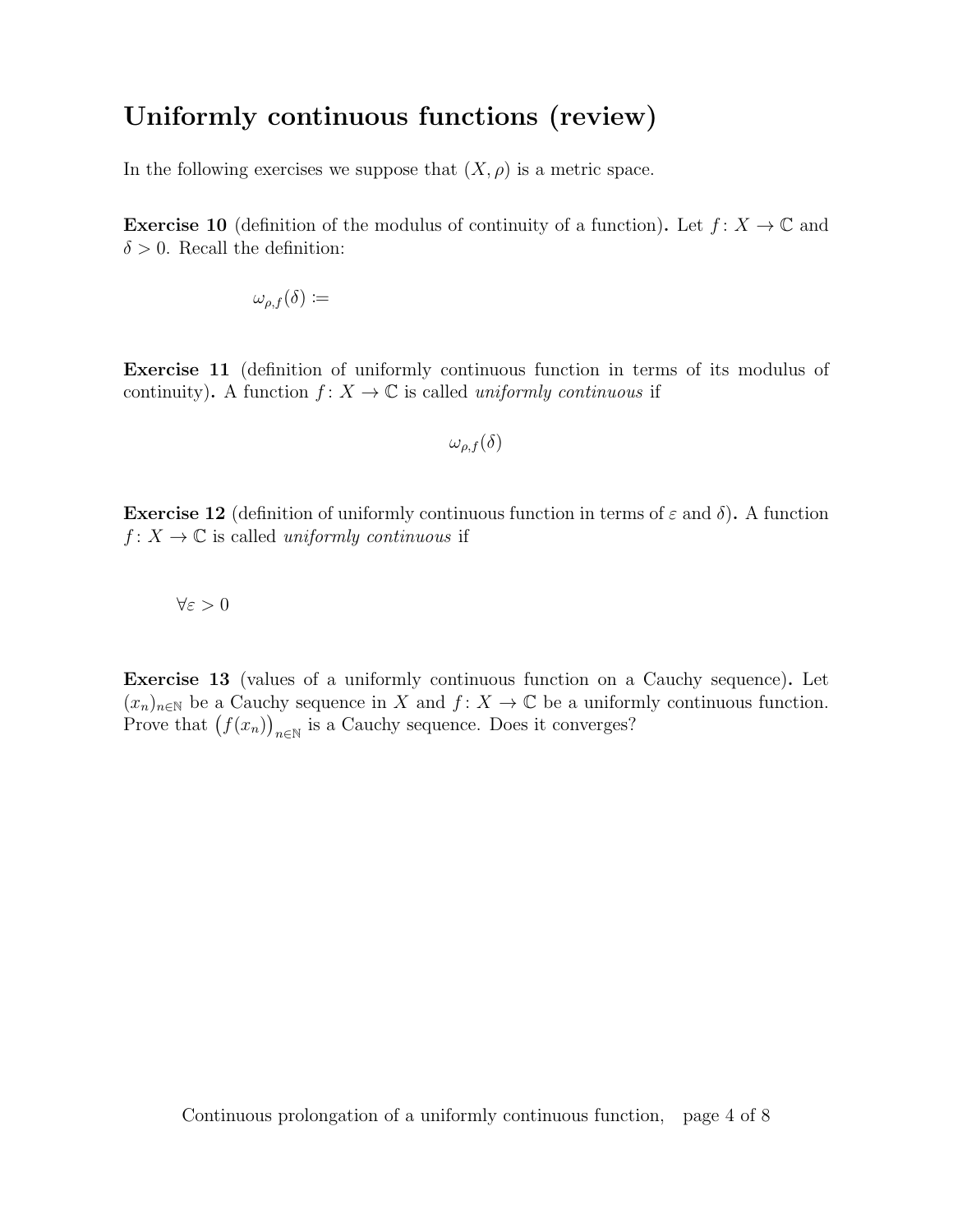#### Uniformly continuous functions (review)

In the following exercises we suppose that  $(X, \rho)$  is a metric space.

**Exercise 10** (definition of the modulus of continuity of a function). Let  $f: X \to \mathbb{C}$  and  $\delta > 0$ . Recall the definition:

$$
\omega_{\rho,f}(\delta) \coloneqq
$$

Exercise 11 (definition of uniformly continuous function in terms of its modulus of continuity). A function  $f: X \to \mathbb{C}$  is called uniformly continuous if

$$
\omega_{\rho,f}(\delta)
$$

**Exercise 12** (definition of uniformly continuous function in terms of  $\varepsilon$  and  $\delta$ ). A function  $f: X \to \mathbb{C}$  is called uniformly continuous if

$$
\forall \varepsilon > 0
$$

Exercise 13 (values of a uniformly continuous function on a Cauchy sequence). Let  $(x_n)_{n\in\mathbb{N}}$  be a Cauchy sequence in X and  $f: X \to \mathbb{C}$  be a uniformly continuous function. Prove that  $(f(x_n))_{n\in\mathbb{N}}$  is a Cauchy sequence. Does it converges?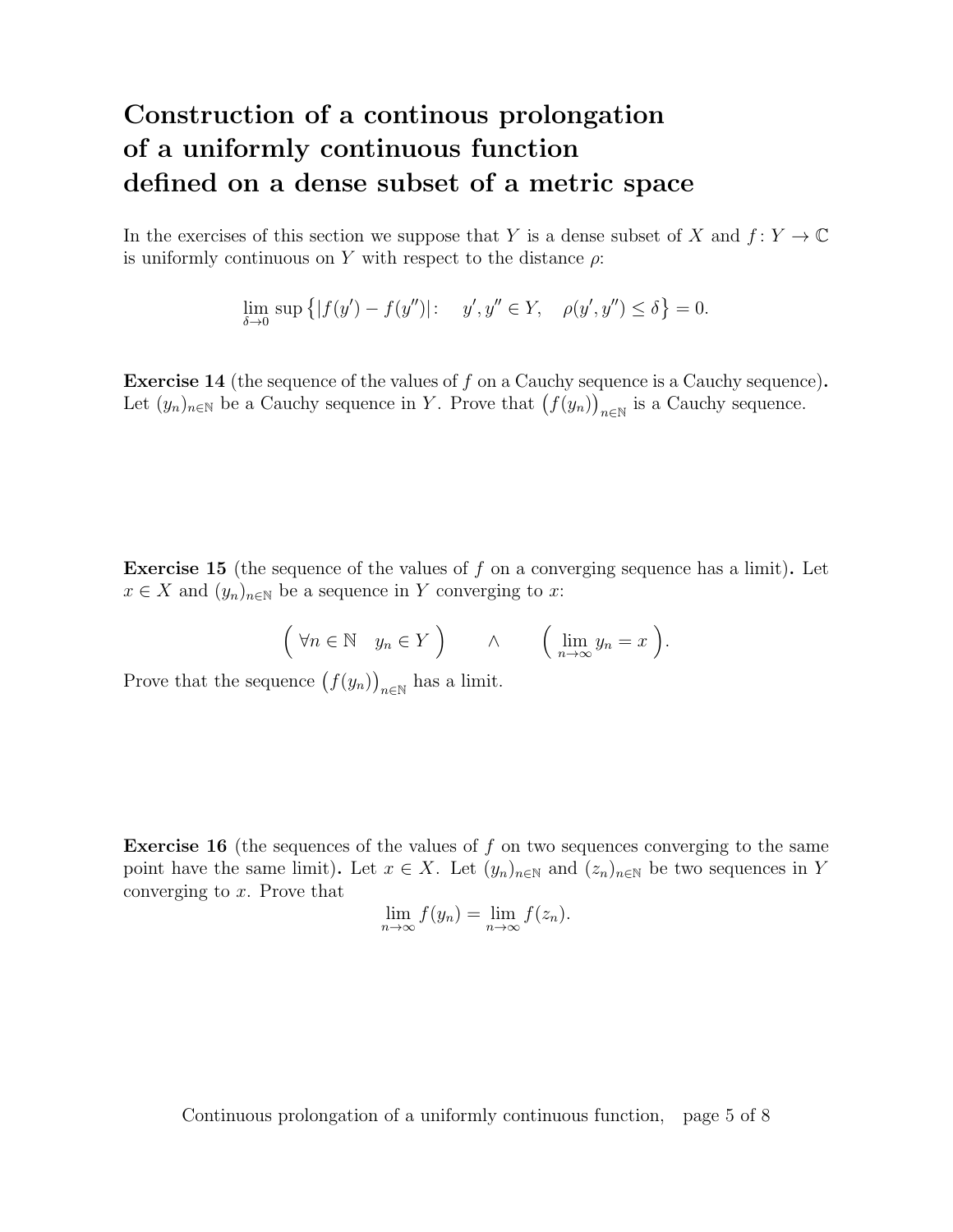## Construction of a continous prolongation of a uniformly continuous function defined on a dense subset of a metric space

In the exercises of this section we suppose that Y is a dense subset of X and  $f: Y \to \mathbb{C}$ is uniformly continuous on Y with respect to the distance  $\rho$ :

$$
\lim_{\delta \to 0} \sup \{|f(y') - f(y'')|: \quad y', y'' \in Y, \quad \rho(y', y'') \le \delta\} = 0.
$$

**Exercise 14** (the sequence of the values of f on a Cauchy sequence is a Cauchy sequence). Let  $(y_n)_{n\in\mathbb{N}}$  be a Cauchy sequence in Y. Prove that  $(f(y_n))_{n\in\mathbb{N}}$  is a Cauchy sequence.

Exercise 15 (the sequence of the values of f on a converging sequence has a limit). Let  $x \in X$  and  $(y_n)_{n \in \mathbb{N}}$  be a sequence in Y converging to x:

$$
\left(\forall n \in \mathbb{N} \quad y_n \in Y\right) \qquad \wedge \qquad \left(\lim_{n \to \infty} y_n = x\right).
$$

Prove that the sequence  $(f(y_n))_{n\in\mathbb{N}}$  has a limit.

**Exercise 16** (the sequences of the values of f on two sequences converging to the same point have the same limit). Let  $x \in X$ . Let  $(y_n)_{n \in \mathbb{N}}$  and  $(z_n)_{n \in \mathbb{N}}$  be two sequences in Y converging to x. Prove that

$$
\lim_{n \to \infty} f(y_n) = \lim_{n \to \infty} f(z_n).
$$

Continuous prolongation of a uniformly continuous function, page 5 of 8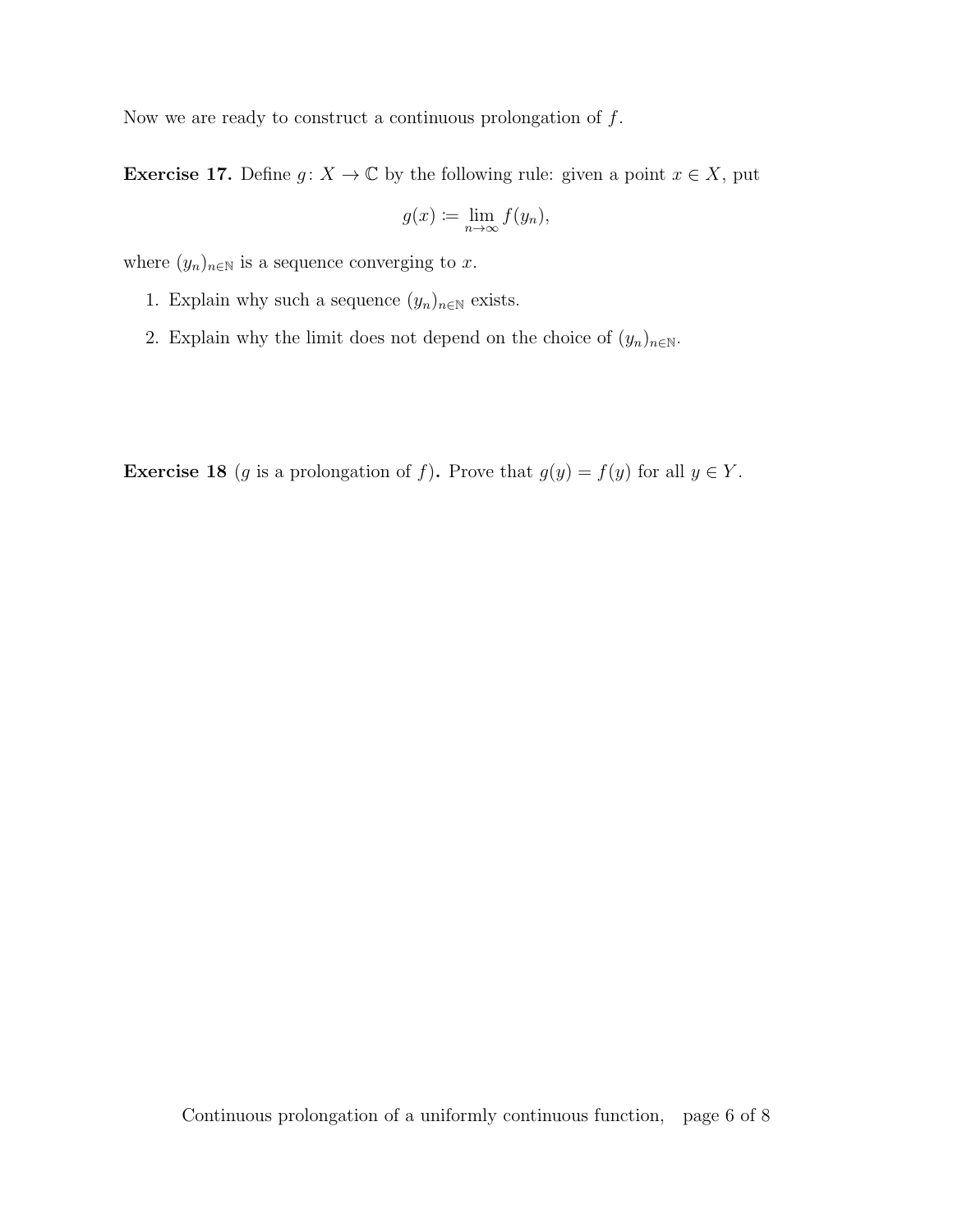Now we are ready to construct a continuous prolongation of  $f$ .

**Exercise 17.** Define  $g: X \to \mathbb{C}$  by the following rule: given a point  $x \in X$ , put

$$
g(x) := \lim_{n \to \infty} f(y_n),
$$

where  $(y_n)_{n \in \mathbb{N}}$  is a sequence converging to x.

- 1. Explain why such a sequence  $(y_n)_{n\in\mathbb{N}}$  exists.
- 2. Explain why the limit does not depend on the choice of  $(y_n)_{n\in\mathbb{N}}$ .

**Exercise 18** (g is a prolongation of f). Prove that  $g(y) = f(y)$  for all  $y \in Y$ .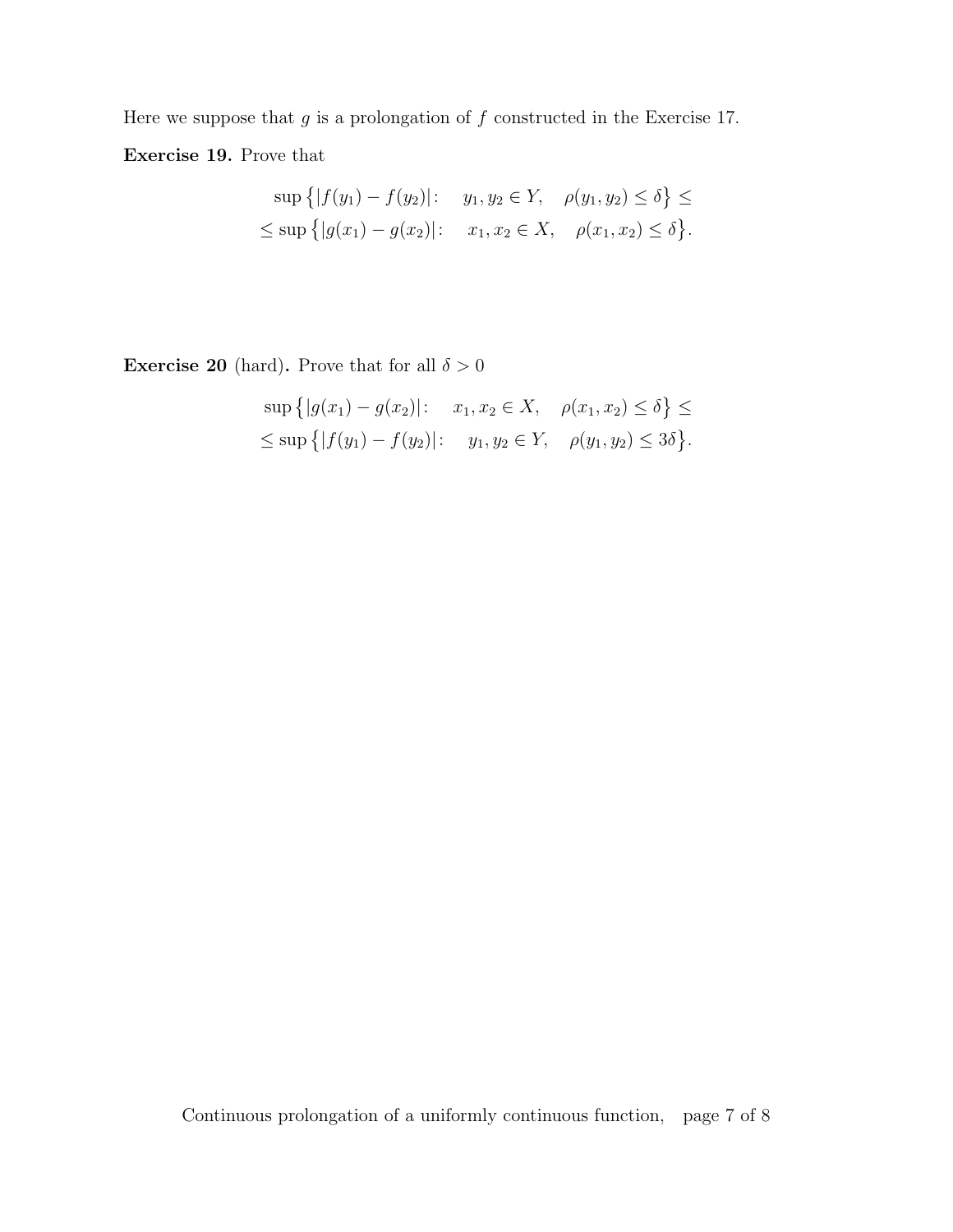Here we suppose that  $g$  is a prolongation of  $f$  constructed in the Exercise 17. Exercise 19. Prove that

$$
\sup \{|f(y_1) - f(y_2)|: y_1, y_2 \in Y, \rho(y_1, y_2) \le \delta\} \le
$$
  

$$
\le \sup \{|g(x_1) - g(x_2)|: x_1, x_2 \in X, \rho(x_1, x_2) \le \delta\}.
$$

**Exercise 20** (hard). Prove that for all  $\delta > 0$ 

$$
\sup \{|g(x_1) - g(x_2)|: x_1, x_2 \in X, \rho(x_1, x_2) \le \delta\} \le
$$
  

$$
\le \sup \{|f(y_1) - f(y_2)|: y_1, y_2 \in Y, \rho(y_1, y_2) \le 3\delta\}.
$$

Continuous prolongation of a uniformly continuous function, page 7 of 8